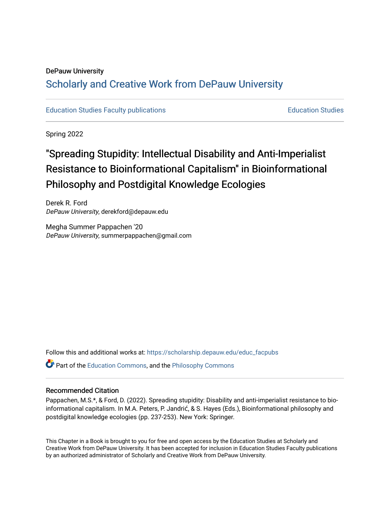### DePauw University

# Scholarly and [Creative Work from DePauw Univ](https://scholarship.depauw.edu/)ersity

[Education Studies Faculty publications](https://scholarship.depauw.edu/educ_facpubs) [Education Studies](https://scholarship.depauw.edu/education) 

Spring 2022

# "Spreading Stupidity: Intellectual Disability and Anti-Imperialist Resistance to Bioinformational Capitalism" in Bioinformational Philosophy and Postdigital Knowledge Ecologies

Derek R. Ford DePauw University, derekford@depauw.edu

Megha Summer Pappachen '20 DePauw University, summerpappachen@gmail.com

Follow this and additional works at: [https://scholarship.depauw.edu/educ\\_facpubs](https://scholarship.depauw.edu/educ_facpubs?utm_source=scholarship.depauw.edu%2Feduc_facpubs%2F39&utm_medium=PDF&utm_campaign=PDFCoverPages)

**P** Part of the [Education Commons](https://network.bepress.com/hgg/discipline/784?utm_source=scholarship.depauw.edu%2Feduc_facpubs%2F39&utm_medium=PDF&utm_campaign=PDFCoverPages), and the Philosophy Commons

#### Recommended Citation

Pappachen, M.S.\*, & Ford, D. (2022). Spreading stupidity: Disability and anti-imperialist resistance to bioinformational capitalism. In M.A. Peters, P. Jandrić, & S. Hayes (Eds.), Bioinformational philosophy and postdigital knowledge ecologies (pp. 237-253). New York: Springer.

This Chapter in a Book is brought to you for free and open access by the Education Studies at Scholarly and Creative Work from DePauw University. It has been accepted for inclusion in Education Studies Faculty publications by an authorized administrator of Scholarly and Creative Work from DePauw University.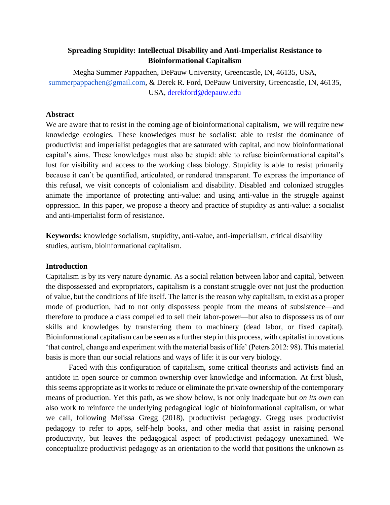# **Spreading Stupidity: Intellectual Disability and Anti-Imperialist Resistance to Bioinformational Capitalism**

Megha Summer Pappachen, DePauw University, Greencastle, IN, 46135, USA, summerpappachen@gmail.com, & Derek R. Ford, DePauw University, Greencastle, IN, 46135, USA, [derekford@depauw.edu](mailto:derekford@depauw.edu)

# **Abstract**

We are aware that to resist in the coming age of bioinformational capitalism, we will require new knowledge ecologies. These knowledges must be socialist: able to resist the dominance of productivist and imperialist pedagogies that are saturated with capital, and now bioinformational capital's aims. These knowledges must also be stupid: able to refuse bioinformational capital's lust for visibility and access to the working class biology. Stupidity is able to resist primarily because it can't be quantified, articulated, or rendered transparent. To express the importance of this refusal, we visit concepts of colonialism and disability. Disabled and colonized struggles animate the importance of protecting anti-value: and using anti-value in the struggle against oppression. In this paper, we propose a theory and practice of stupidity as anti-value: a socialist and anti-imperialist form of resistance.

**Keywords:** knowledge socialism, stupidity, anti-value, anti-imperialism, critical disability studies, autism, bioinformational capitalism.

#### **Introduction**

Capitalism is by its very nature dynamic. As a social relation between labor and capital, between the dispossessed and expropriators, capitalism is a constant struggle over not just the production of value, but the conditions of life itself. The latter is the reason why capitalism, to exist as a proper mode of production, had to not only dispossess people from the means of subsistence—and therefore to produce a class compelled to sell their labor-power—but also to dispossess us of our skills and knowledges by transferring them to machinery (dead labor, or fixed capital). Bioinformational capitalism can be seen as a further step in this process, with capitalist innovations 'that control, change and experiment with the material basis of life' (Peters 2012: 98). This material basis is more than our social relations and ways of life: it is our very biology.

Faced with this configuration of capitalism, some critical theorists and activists find an antidote in open source or common ownership over knowledge and information. At first blush, this seems appropriate as it works to reduce or eliminate the private ownership of the contemporary means of production. Yet this path, as we show below, is not only inadequate but *on its own* can also work to reinforce the underlying pedagogical logic of bioinformational capitalism, or what we call, following Melissa Gregg (2018), productivist pedagogy. Gregg uses productivist pedagogy to refer to apps, self-help books, and other media that assist in raising personal productivity, but leaves the pedagogical aspect of productivist pedagogy unexamined. We conceptualize productivist pedagogy as an orientation to the world that positions the unknown as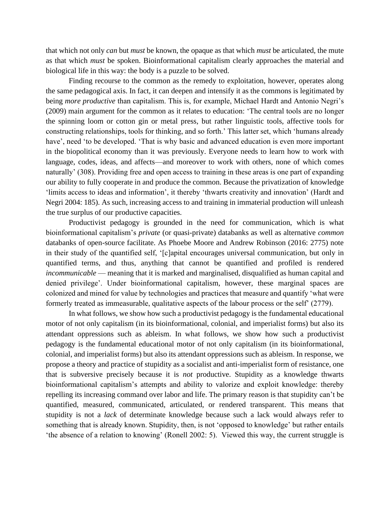that which not only *can* but *must* be known, the opaque as that which *must* be articulated, the mute as that which *must* be spoken. Bioinformational capitalism clearly approaches the material and biological life in this way: the body is a puzzle to be solved.

Finding recourse to the common as the remedy to exploitation, however, operates along the same pedagogical axis. In fact, it can deepen and intensify it as the commons is legitimated by being *more productive* than capitalism. This is, for example, Michael Hardt and Antonio Negri's (2009) main argument for the common as it relates to education: 'The central tools are no longer the spinning loom or cotton gin or metal press, but rather linguistic tools, affective tools for constructing relationships, tools for thinking, and so forth.' This latter set, which 'humans already have', need 'to be developed. 'That is why basic and advanced education is even more important in the biopolitical economy than it was previously. Everyone needs to learn how to work with language, codes, ideas, and affects—and moreover to work with others, none of which comes naturally' (308). Providing free and open access to training in these areas is one part of expanding our ability to fully cooperate in and produce the common. Because the privatization of knowledge 'limits access to ideas and information', it thereby 'thwarts creativity and innovation' (Hardt and Negri 2004: 185). As such, increasing access to and training in immaterial production will unleash the true surplus of our productive capacities.

Productivist pedagogy is grounded in the need for communication, which is what bioinformational capitalism's *private* (or quasi-private) databanks as well as alternative *common* databanks of open-source facilitate. As Phoebe Moore and Andrew Robinson (2016: 2775) note in their study of the quantified self, '[c]apital encourages universal communication, but only in quantified terms, and thus, anything that cannot be quantified and profiled is rendered *incommunicable* — meaning that it is marked and marginalised, disqualified as human capital and denied privilege'. Under bioinformational capitalism, however, these marginal spaces are colonized and mined for value by technologies and practices that measure and quantify 'what were formerly treated as immeasurable, qualitative aspects of the labour process or the self' (2779).

In what follows, we show how such a productivist pedagogy is the fundamental educational motor of not only capitalism (in its bioinformational, colonial, and imperialist forms) but also its attendant oppressions such as ableism. In what follows, we show how such a productivist pedagogy is the fundamental educational motor of not only capitalism (in its bioinformational, colonial, and imperialist forms) but also its attendant oppressions such as ableism. In response, we propose a theory and practice of stupidity as a socialist and anti-imperialist form of resistance, one that is subversive precisely because it is *not* productive. Stupidity as a knowledge thwarts bioinformational capitalism's attempts and ability to valorize and exploit knowledge: thereby repelling its increasing command over labor and life. The primary reason is that stupidity can't be quantified, measured, communicated, articulated, or rendered transparent. This means that stupidity is not a *lack* of determinate knowledge because such a lack would always refer to something that is already known. Stupidity, then, is not 'opposed to knowledge' but rather entails 'the absence of a relation to knowing' (Ronell 2002: 5). Viewed this way, the current struggle is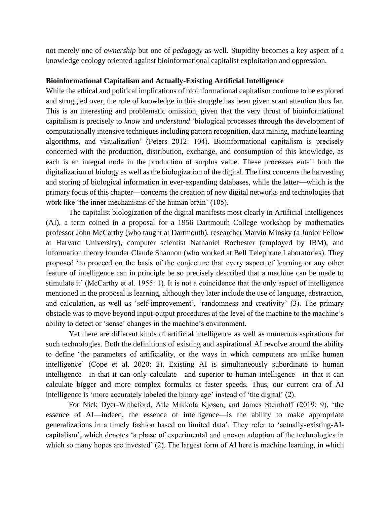not merely one of *ownership* but one of *pedagogy* as well. Stupidity becomes a key aspect of a knowledge ecology oriented against bioinformational capitalist exploitation and oppression.

#### **Bioinformational Capitalism and Actually-Existing Artificial Intelligence**

While the ethical and political implications of bioinformational capitalism continue to be explored and struggled over, the role of knowledge in this struggle has been given scant attention thus far. This is an interesting and problematic omission, given that the very thrust of bioinformational capitalism is precisely to *know* and *understand* 'biological processes through the development of computationally intensive techniques including pattern recognition, data mining, machine learning algorithms, and visualization' (Peters 2012: 104). Bioinformational capitalism is precisely concerned with the production, distribution, exchange, and consumption of this knowledge, as each is an integral node in the production of surplus value. These processes entail both the digitalization of biology as well as the biologization of the digital. The first concerns the harvesting and storing of biological information in ever-expanding databases, while the latter—which is the primary focus of this chapter—concerns the creation of new digital networks and technologies that work like 'the inner mechanisms of the human brain' (105).

The capitalist biologization of the digital manifests most clearly in Artificial Intelligences (AI), a term coined in a proposal for a 1956 Dartmouth College workshop by mathematics professor John McCarthy (who taught at Dartmouth), researcher Marvin Minsky (a Junior Fellow at Harvard University), computer scientist Nathaniel Rochester (employed by IBM), and information theory founder Claude Shannon (who worked at Bell Telephone Laboratories). They proposed 'to proceed on the basis of the conjecture that every aspect of learning or any other feature of intelligence can in principle be so precisely described that a machine can be made to stimulate it' (McCarthy et al. 1955: 1). It is not a coincidence that the only aspect of intelligence mentioned in the proposal is learning, although they later include the use of language, abstraction, and calculation, as well as 'self-improvement', 'randomness and creativity' (3). The primary obstacle was to move beyond input-output procedures at the level of the machine to the machine's ability to detect or 'sense' changes in the machine's environment.

Yet there are different kinds of artificial intelligence as well as numerous aspirations for such technologies. Both the definitions of existing and aspirational AI revolve around the ability to define 'the parameters of artificiality, or the ways in which computers are unlike human intelligence' (Cope et al. 2020: 2). Existing AI is simultaneously subordinate to human intelligence—in that it can only calculate—and superior to human intelligence—in that it can calculate bigger and more complex formulas at faster speeds. Thus, our current era of AI intelligence is 'more accurately labeled the binary age' instead of 'the digital' (2).

For Nick Dyer-Witheford, Atle Mikkola Kjøsen, and James Steinhoff (2019: 9), 'the essence of AI—indeed, the essence of intelligence—is the ability to make appropriate generalizations in a timely fashion based on limited data'. They refer to 'actually-existing-AIcapitalism', which denotes 'a phase of experimental and uneven adoption of the technologies in which so many hopes are invested' (2). The largest form of AI here is machine learning, in which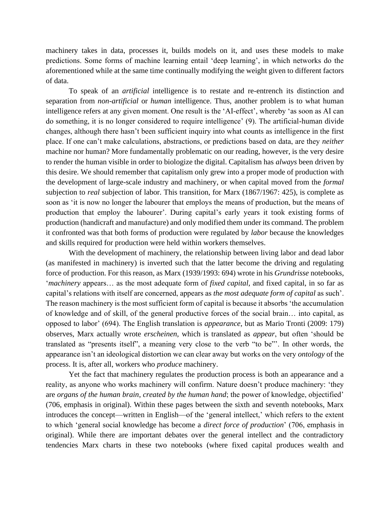machinery takes in data, processes it, builds models on it, and uses these models to make predictions. Some forms of machine learning entail 'deep learning', in which networks do the aforementioned while at the same time continually modifying the weight given to different factors of data.

To speak of an *artificial* intelligence is to restate and re-entrench its distinction and separation from *non-artificial* or *human* intelligence. Thus, another problem is to what human intelligence refers at any given moment. One result is the 'AI-effect', whereby 'as soon as AI can do something, it is no longer considered to require intelligence' (9). The artificial-human divide changes, although there hasn't been sufficient inquiry into what counts as intelligence in the first place. If one can't make calculations, abstractions, or predictions based on data, are they *neither* machine nor human? More fundamentally problematic on our reading, however, is the very desire to render the human visible in order to biologize the digital. Capitalism has *always* been driven by this desire. We should remember that capitalism only grew into a proper mode of production with the development of large-scale industry and machinery, or when capital moved from the *formal* subjection to *real* subjection of labor. This transition, for Marx (1867/1967: 425), is complete as soon as 'it is now no longer the labourer that employs the means of production, but the means of production that employ the labourer'. During capital's early years it took existing forms of production (handicraft and manufacture) and only modified them under its command. The problem it confronted was that both forms of production were regulated by *labor* because the knowledges and skills required for production were held within workers themselves.

With the development of machinery, the relationship between living labor and dead labor (as manifested in machinery) is inverted such that the latter become the driving and regulating force of production. For this reason, as Marx (1939/1993: 694) wrote in his *Grundrisse* notebooks, '*machinery* appears… as the most adequate form of *fixed capital*, and fixed capital, in so far as capital's relations with itself are concerned, appears as *the most adequate form of capital* as such'. The reason machinery is the most sufficient form of capital is because it absorbs 'the accumulation of knowledge and of skill, of the general productive forces of the social brain… into capital, as opposed to labor' (694). The English translation is *appearance*, but as Mario Tronti (2009: 179) observes, Marx actually wrote *erscheinen*, which is translated as *appear*, but often 'should be translated as "presents itself", a meaning very close to the verb "to be"'. In other words, the appearance isn't an ideological distortion we can clear away but works on the very *ontology* of the process. It is, after all, workers who *produce* machinery.

Yet the fact that machinery regulates the production process is both an appearance and a reality, as anyone who works machinery will confirm. Nature doesn't produce machinery: 'they are *organs of the human brain*, *created by the human hand*; the power of knowledge, objectified' (706, emphasis in original). Within these pages between the sixth and seventh notebooks, Marx introduces the concept—written in English—of the 'general intellect,' which refers to the extent to which 'general social knowledge has become a *direct force of production*' (706, emphasis in original). While there are important debates over the general intellect and the contradictory tendencies Marx charts in these two notebooks (where fixed capital produces wealth and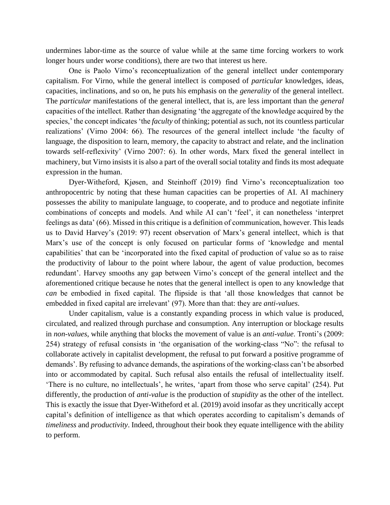undermines labor-time as the source of value while at the same time forcing workers to work longer hours under worse conditions), there are two that interest us here.

One is Paolo Virno's reconceptualization of the general intellect under contemporary capitalism. For Virno, while the general intellect is composed of *particular* knowledges, ideas, capacities, inclinations, and so on, he puts his emphasis on the *generality* of the general intellect. The *particular* manifestations of the general intellect, that is, are less important than the *general* capacities of the intellect. Rather than designating 'the aggregate of the knowledge acquired by the species,' the concept indicates 'the *faculty* of thinking; potential as such, not its countless particular realizations' (Virno 2004: 66). The resources of the general intellect include 'the faculty of language, the disposition to learn, memory, the capacity to abstract and relate, and the inclination towards self-reflexivity' (Virno 2007: 6). In other words, Marx fixed the general intellect in machinery, but Virno insists it is also a part of the overall social totality and finds its most adequate expression in the human.

Dyer-Witheford, Kjøsen, and Steinhoff (2019) find Virno's reconceptualization too anthropocentric by noting that these human capacities can be properties of AI. AI machinery possesses the ability to manipulate language, to cooperate, and to produce and negotiate infinite combinations of concepts and models. And while AI can't 'feel', it can nonetheless 'interpret feelings as data' (66). Missed in this critique is a definition of communication, however. This leads us to David Harvey's (2019: 97) recent observation of Marx's general intellect, which is that Marx's use of the concept is only focused on particular forms of 'knowledge and mental capabilities' that can be 'incorporated into the fixed capital of production of value so as to raise the productivity of labour to the point where labour, the agent of value production, becomes redundant'. Harvey smooths any gap between Virno's concept of the general intellect and the aforementioned critique because he notes that the general intellect is open to any knowledge that *can* be embodied in fixed capital. The flipside is that 'all those knowledges that cannot be embedded in fixed capital are irrelevant' (97). More than that: they are *anti-values*.

Under capitalism, value is a constantly expanding process in which value is produced, circulated, and realized through purchase and consumption. Any interruption or blockage results in *non-values*, while anything that blocks the movement of value is an *anti-value*. Tronti's (2009: 254) strategy of refusal consists in 'the organisation of the working-class "No": the refusal to collaborate actively in capitalist development, the refusal to put forward a positive programme of demands'. By refusing to advance demands, the aspirations of the working-class can't be absorbed into or accommodated by capital. Such refusal also entails the refusal of intellectuality itself. 'There is no culture, no intellectuals', he writes, 'apart from those who serve capital' (254). Put differently, the production of *anti-value* is the production of *stupidity* as the other of the intellect. This is exactly the issue that Dyer-Witheford et al. (2019) avoid insofar as they uncritically accept capital's definition of intelligence as that which operates according to capitalism's demands of *timeliness* and *productivity*. Indeed, throughout their book they equate intelligence with the ability to perform.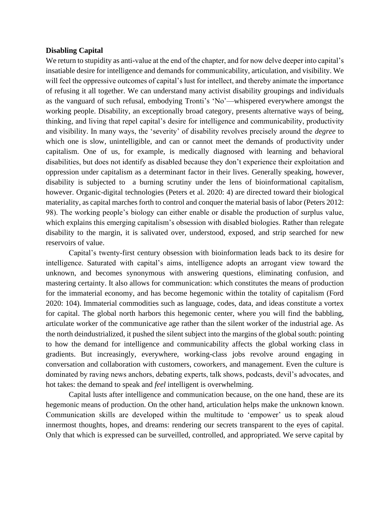#### **Disabling Capital**

We return to stupidity as anti-value at the end of the chapter, and for now delve deeper into capital's insatiable desire for intelligence and demands for communicability, articulation, and visibility. We will feel the oppressive outcomes of capital's lust for intellect, and thereby animate the importance of refusing it all together. We can understand many activist disability groupings and individuals as the vanguard of such refusal, embodying Tronti's 'No'—whispered everywhere amongst the working people. Disability, an exceptionally broad category, presents alternative ways of being, thinking, and living that repel capital's desire for intelligence and communicability, productivity and visibility. In many ways, the 'severity' of disability revolves precisely around the *degree* to which one is slow, unintelligible, and can or cannot meet the demands of productivity under capitalism. One of us, for example, is medically diagnosed with learning and behavioral disabilities, but does not identify as disabled because they don't experience their exploitation and oppression under capitalism as a determinant factor in their lives. Generally speaking, however, disability is subjected to a burning scrutiny under the lens of bioinformational capitalism, however. Organic-digital technologies (Peters et al. 2020: 4) are directed toward their biological materiality, as capital marches forth to control and conquer the material basis of labor (Peters 2012: 98). The working people's biology can either enable or disable the production of surplus value, which explains this emerging capitalism's obsession with disabled biologies. Rather than relegate disability to the margin, it is salivated over, understood, exposed, and strip searched for new reservoirs of value.

Capital's twenty-first century obsession with bioinformation leads back to its desire for intelligence. Saturated with capital's aims, intelligence adopts an arrogant view toward the unknown, and becomes synonymous with answering questions, eliminating confusion, and mastering certainty. It also allows for communication: which constitutes the means of production for the immaterial economy, and has become hegemonic within the totality of capitalism (Ford 2020: 104). Immaterial commodities such as language, codes, data, and ideas constitute a vortex for capital. The global north harbors this hegemonic center, where you will find the babbling, articulate worker of the communicative age rather than the silent worker of the industrial age. As the north deindustrialized, it pushed the silent subject into the margins of the global south: pointing to how the demand for intelligence and communicability affects the global working class in gradients. But increasingly, everywhere, working-class jobs revolve around engaging in conversation and collaboration with customers, coworkers, and management. Even the culture is dominated by raving news anchors, debating experts, talk shows, podcasts, devil's advocates, and hot takes: the demand to speak and *feel* intelligent is overwhelming.

Capital lusts after intelligence and communication because, on the one hand, these are its hegemonic means of production. On the other hand, articulation helps make the unknown known. Communication skills are developed within the multitude to 'empower' us to speak aloud innermost thoughts, hopes, and dreams: rendering our secrets transparent to the eyes of capital. Only that which is expressed can be surveilled, controlled, and appropriated. We serve capital by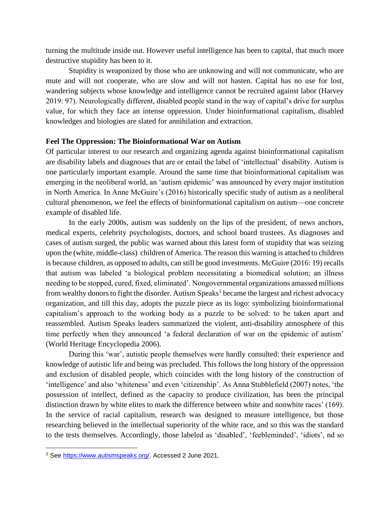turning the multitude inside out. However useful intelligence has been to capital, that much more destructive stupidity has been to it.

Stupidity is weaponized by those who are unknowing and will not communicate, who are mute and will not cooperate, who are slow and will not hasten. Capital has no use for lost, wandering subjects whose knowledge and intelligence cannot be recruited against labor (Harvey 2019: 97). Neurologically different, disabled people stand in the way of capital's drive for surplus value, for which they face an intense oppression. Under bioinformational capitalism, disabled knowledges and biologies are slated for annihilation and extraction.

#### **Feel The Oppression: The Bioinformational War on Autism**

Of particular interest to our research and organizing agenda against bioinformational capitalism are disability labels and diagnoses that are or entail the label of 'intellectual' disability. Autism is one particularly important example. Around the same time that bioinformational capitalism was emerging in the neoliberal world, an 'autism epidemic' was announced by every major institution in North America. In Anne McGuire's (2016) historically specific study of autism as a neoliberal cultural phenomenon, we feel the effects of bioinformational capitalism on autism—one concrete example of disabled life.

In the early 2000s, autism was suddenly on the lips of the president, of news anchors, medical experts, celebrity psychologists, doctors, and school board trustees. As diagnoses and cases of autism surged, the public was warned about this latest form of stupidity that was seizing upon the (white, middle-class) children of America. The reason this warning is attached to children is because children, as opposed to adults, can still be good investments. McGuire (2016: 19) recalls that autism was labeled 'a biological problem necessitating a biomedical solution; an illness needing to be stopped, cured, fixed, eliminated'. Nongovernmental organizations amassed millions from wealthy donors to fight the disorder. Autism  $Speaks<sup>1</sup>$  became the largest and richest advocacy organization, and till this day, adopts the puzzle piece as its logo: symbolizing bioinformational capitalism's approach to the working body as a puzzle to be solved: to be taken apart and reassembled. Autism Speaks leaders summarized the violent, anti-disability atmosphere of this time perfectly when they announced 'a federal declaration of war on the epidemic of autism' (World Heritage Encyclopedia 2006).

During this 'war', autistic people themselves were hardly consulted: their experience and knowledge of autistic life and being was precluded. This follows the long history of the oppression and exclusion of disabled people, which coincides with the long history of the construction of 'intelligence' and also 'whiteness' and even 'citizenship'. As Anna Stubblefield (2007) notes, 'the possession of intellect, defined as the capacity to produce civilization, has been the principal distinction drawn by white elites to mark the difference between white and nonwhite races' (169). In the service of racial capitalism, research was designed to measure intelligence, but those researching believed in the intellectual superiority of the white race, and so this was the standard to the tests themselves. Accordingly, those labeled as 'disabled', 'feebleminded', 'idiots', nd so

<sup>1</sup> See [https://www.autismspeaks.org/.](https://www.autismspeaks.org/) Accessed 2 June 2021.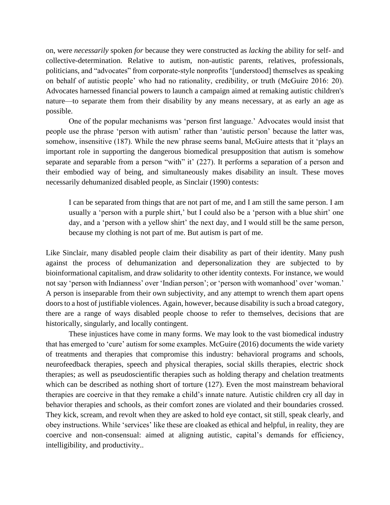on, were *necessarily* spoken *for* because they were constructed as *lacking* the ability for self- and collective-determination. Relative to autism, non-autistic parents, relatives, professionals, politicians, and "advocates" from corporate-style nonprofits '[understood] themselves as speaking on behalf of autistic people' who had no rationality, credibility, or truth (McGuire 2016: 20). Advocates harnessed financial powers to launch a campaign aimed at remaking autistic children's nature—to separate them from their disability by any means necessary, at as early an age as possible.

One of the popular mechanisms was 'person first language.' Advocates would insist that people use the phrase 'person with autism' rather than 'autistic person' because the latter was, somehow, insensitive (187). While the new phrase seems banal, McGuire attests that it 'plays an important role in supporting the dangerous biomedical presupposition that autism is somehow separate and separable from a person "with" it' (227). It performs a separation of a person and their embodied way of being, and simultaneously makes disability an insult. These moves necessarily dehumanized disabled people, as Sinclair (1990) contests:

I can be separated from things that are not part of me, and I am still the same person. I am usually a 'person with a purple shirt,' but I could also be a 'person with a blue shirt' one day, and a 'person with a yellow shirt' the next day, and I would still be the same person, because my clothing is not part of me. But autism is part of me.

Like Sinclair, many disabled people claim their disability as part of their identity. Many push against the process of dehumanization and depersonalization they are subjected to by bioinformational capitalism, and draw solidarity to other identity contexts. For instance, we would not say 'person with Indianness' over 'Indian person'; or 'person with womanhood' over 'woman.' A person is inseparable from their own subjectivity, and any attempt to wrench them apart opens doors to a host of justifiable violences. Again, however, because disability is such a broad category, there are a range of ways disabled people choose to refer to themselves, decisions that are historically, singularly, and locally contingent.

These injustices have come in many forms. We may look to the vast biomedical industry that has emerged to 'cure' autism for some examples. McGuire (2016) documents the wide variety of treatments and therapies that compromise this industry: behavioral programs and schools, neurofeedback therapies, speech and physical therapies, social skills therapies, electric shock therapies; as well as pseudoscientific therapies such as holding therapy and chelation treatments which can be described as nothing short of torture (127). Even the most mainstream behavioral therapies are coercive in that they remake a child's innate nature. Autistic children cry all day in behavior therapies and schools, as their comfort zones are violated and their boundaries crossed. They kick, scream, and revolt when they are asked to hold eye contact, sit still, speak clearly, and obey instructions. While 'services' like these are cloaked as ethical and helpful, in reality, they are coercive and non-consensual: aimed at aligning autistic, capital's demands for efficiency, intelligibility, and productivity..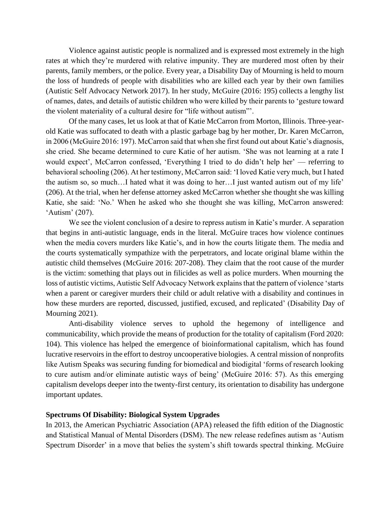Violence against autistic people is normalized and is expressed most extremely in the high rates at which they're murdered with relative impunity. They are murdered most often by their parents, family members, or the police. Every year, a Disability Day of Mourning is held to mourn the loss of hundreds of people with disabilities who are killed each year by their own families (Autistic Self Advocacy Network 2017). In her study, McGuire (2016: 195) collects a lengthy list of names, dates, and details of autistic children who were killed by their parents to 'gesture toward the violent materiality of a cultural desire for "life without autism"'.

Of the many cases, let us look at that of Katie McCarron from Morton, Illinois. Three-yearold Katie was suffocated to death with a plastic garbage bag by her mother, Dr. Karen McCarron, in 2006 (McGuire 2016: 197). McCarron said that when she first found out about Katie's diagnosis, she cried. She became determined to cure Katie of her autism. 'She was not learning at a rate I would expect', McCarron confessed, 'Everything I tried to do didn't help her' — referring to behavioral schooling (206). At her testimony, McCarron said: 'I loved Katie very much, but I hated the autism so, so much…I hated what it was doing to her…I just wanted autism out of my life' (206). At the trial, when her defense attorney asked McCarron whether she thought she was killing Katie, she said: 'No.' When he asked who she thought she was killing, McCarron answered: 'Autism' (207).

We see the violent conclusion of a desire to repress autism in Katie's murder. A separation that begins in anti-autistic language, ends in the literal. McGuire traces how violence continues when the media covers murders like Katie's, and in how the courts litigate them. The media and the courts systematically sympathize with the perpetrators, and locate original blame within the autistic child themselves (McGuire 2016: 207-208). They claim that the root cause of the murder is the victim: something that plays out in filicides as well as police murders. When mourning the loss of autistic victims, Autistic Self Advocacy Network explains that the pattern of violence 'starts when a parent or caregiver murders their child or adult relative with a disability and continues in how these murders are reported, discussed, justified, excused, and replicated' (Disability Day of Mourning 2021).

Anti-disability violence serves to uphold the hegemony of intelligence and communicability, which provide the means of production for the totality of capitalism (Ford 2020: 104). This violence has helped the emergence of bioinformational capitalism, which has found lucrative reservoirs in the effort to destroy uncooperative biologies. A central mission of nonprofits like Autism Speaks was securing funding for biomedical and biodigital 'forms of research looking to cure autism and/or eliminate autistic ways of being' (McGuire 2016: 57). As this emerging capitalism develops deeper into the twenty-first century, its orientation to disability has undergone important updates.

#### **Spectrums Of Disability: Biological System Upgrades**

In 2013, the American Psychiatric Association (APA) released the fifth edition of the Diagnostic and Statistical Manual of Mental Disorders (DSM). The new release redefines autism as 'Autism Spectrum Disorder' in a move that belies the system's shift towards spectral thinking. McGuire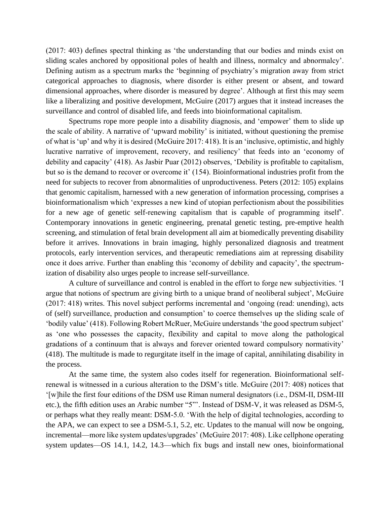(2017: 403) defines spectral thinking as 'the understanding that our bodies and minds exist on sliding scales anchored by oppositional poles of health and illness, normalcy and abnormalcy'. Defining autism as a spectrum marks the 'beginning of psychiatry's migration away from strict categorical approaches to diagnosis, where disorder is either present or absent, and toward dimensional approaches, where disorder is measured by degree'. Although at first this may seem like a liberalizing and positive development, McGuire (2017) argues that it instead increases the surveillance and control of disabled life, and feeds into bioinformational capitalism.

Spectrums rope more people into a disability diagnosis, and 'empower' them to slide up the scale of ability. A narrative of 'upward mobility' is initiated, without questioning the premise of what is 'up' and why it is desired (McGuire 2017: 418). It is an 'inclusive, optimistic, and highly lucrative narrative of improvement, recovery, and resiliency' that feeds into an 'economy of debility and capacity' (418). As Jasbir Puar (2012) observes, 'Debility is profitable to capitalism, but so is the demand to recover or overcome it' (154). Bioinformational industries profit from the need for subjects to recover from abnormalities of unproductiveness. Peters (2012: 105) explains that genomic capitalism, harnessed with a new generation of information processing, comprises a bioinformationalism which 'expresses a new kind of utopian perfectionism about the possibilities for a new age of genetic self-renewing capitalism that is capable of programming itself'. Contemporary innovations in genetic engineering, prenatal genetic testing, pre-emptive health screening, and stimulation of fetal brain development all aim at biomedically preventing disability before it arrives. Innovations in brain imaging, highly personalized diagnosis and treatment protocols, early intervention services, and therapeutic remediations aim at repressing disability once it does arrive. Further than enabling this 'economy of debility and capacity', the spectrumization of disability also urges people to increase self-surveillance.

A culture of surveillance and control is enabled in the effort to forge new subjectivities. 'I argue that notions of spectrum are giving birth to a unique brand of neoliberal subject', McGuire (2017: 418) writes. This novel subject performs incremental and 'ongoing (read: unending), acts of (self) surveillance, production and consumption' to coerce themselves up the sliding scale of 'bodily value' (418). Following Robert McRuer, McGuire understands 'the good spectrum subject' as 'one who possesses the capacity, flexibility and capital to move along the pathological gradations of a continuum that is always and forever oriented toward compulsory normativity' (418). The multitude is made to regurgitate itself in the image of capital, annihilating disability in the process.

At the same time, the system also codes itself for regeneration. Bioinformational selfrenewal is witnessed in a curious alteration to the DSM's title. McGuire (2017: 408) notices that '[w]hile the first four editions of the DSM use Riman numeral designators (i.e., DSM-II, DSM-III etc.), the fifth edition uses an Arabic number "5"'. Instead of DSM-V, it was released as DSM-5, or perhaps what they really meant: DSM-5.0. 'With the help of digital technologies, according to the APA, we can expect to see a DSM-5.1, 5.2, etc. Updates to the manual will now be ongoing, incremental—more like system updates/upgrades' (McGuire 2017: 408). Like cellphone operating system updates—OS 14.1, 14.2, 14.3—which fix bugs and install new ones, bioinformational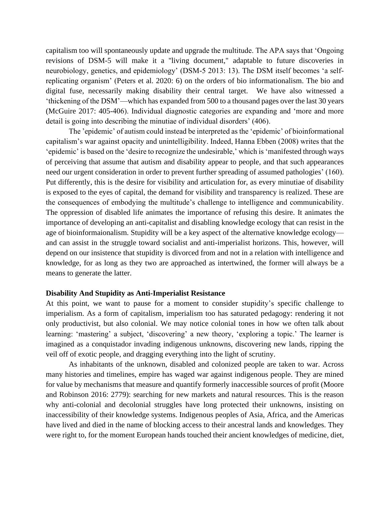capitalism too will spontaneously update and upgrade the multitude. The APA says that 'Ongoing revisions of DSM-5 will make it a ''living document," adaptable to future discoveries in neurobiology, genetics, and epidemiology' (DSM-5 2013: 13). The DSM itself becomes 'a selfreplicating organism' (Peters et al. 2020: 6) on the orders of bio informationalism. The bio and digital fuse, necessarily making disability their central target. We have also witnessed a 'thickening of the DSM'—which has expanded from 500 to a thousand pages over the last 30 years (McGuire 2017: 405-406). Individual diagnostic categories are expanding and 'more and more detail is going into describing the minutiae of individual disorders' (406).

The 'epidemic' of autism could instead be interpreted as the 'epidemic' of bioinformational capitalism's war against opacity and unintelligibility. Indeed, Hanna Ebben (2008) writes that the 'epidemic' is based on the 'desire to recognize the undesirable,' which is 'manifested through ways of perceiving that assume that autism and disability appear to people, and that such appearances need our urgent consideration in order to prevent further spreading of assumed pathologies' (160). Put differently, this is the desire for visibility and articulation for, as every minutiae of disability is exposed to the eyes of capital, the demand for visibility and transparency is realized. These are the consequences of embodying the multitude's challenge to intelligence and communicability. The oppression of disabled life animates the importance of refusing this desire. It animates the importance of developing an anti-capitalist and disabling knowledge ecology that can resist in the age of bioinformaionalism. Stupidity will be a key aspect of the alternative knowledge ecology and can assist in the struggle toward socialist and anti-imperialist horizons. This, however, will depend on our insistence that stupidity is divorced from and not in a relation with intelligence and knowledge, for as long as they two are approached as intertwined, the former will always be a means to generate the latter.

#### **Disability And Stupidity as Anti-Imperialist Resistance**

At this point, we want to pause for a moment to consider stupidity's specific challenge to imperialism. As a form of capitalism, imperialism too has saturated pedagogy: rendering it not only productivist, but also colonial. We may notice colonial tones in how we often talk about learning: 'mastering' a subject, 'discovering' a new theory, 'exploring a topic.' The learner is imagined as a conquistador invading indigenous unknowns, discovering new lands, ripping the veil off of exotic people, and dragging everything into the light of scrutiny.

As inhabitants of the unknown, disabled and colonized people are taken to war. Across many histories and timelines, empire has waged war against indigenous people. They are mined for value by mechanisms that measure and quantify formerly inaccessible sources of profit (Moore and Robinson 2016: 2779): searching for new markets and natural resources. This is the reason why anti-colonial and decolonial struggles have long protected their unknowns, insisting on inaccessibility of their knowledge systems. Indigenous peoples of Asia, Africa, and the Americas have lived and died in the name of blocking access to their ancestral lands and knowledges. They were right to, for the moment European hands touched their ancient knowledges of medicine, diet,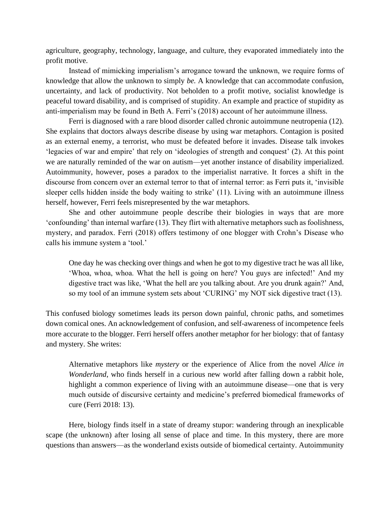agriculture, geography, technology, language, and culture, they evaporated immediately into the profit motive.

Instead of mimicking imperialism's arrogance toward the unknown, we require forms of knowledge that allow the unknown to simply *be.* A knowledge that can accommodate confusion, uncertainty, and lack of productivity. Not beholden to a profit motive, socialist knowledge is peaceful toward disability, and is comprised of stupidity. An example and practice of stupidity as anti-imperialism may be found in Beth A. Ferri's (2018) account of her autoimmune illness.

Ferri is diagnosed with a rare blood disorder called chronic autoimmune neutropenia (12). She explains that doctors always describe disease by using war metaphors. Contagion is posited as an external enemy, a terrorist, who must be defeated before it invades. Disease talk invokes 'legacies of war and empire' that rely on 'ideologies of strength and conquest' (2). At this point we are naturally reminded of the war on autism—yet another instance of disability imperialized. Autoimmunity, however, poses a paradox to the imperialist narrative. It forces a shift in the discourse from concern over an external terror to that of internal terror: as Ferri puts it, 'invisible sleeper cells hidden inside the body waiting to strike' (11). Living with an autoimmune illness herself, however, Ferri feels misrepresented by the war metaphors.

She and other autoimmune people describe their biologies in ways that are more 'confounding' than internal warfare (13). They flirt with alternative metaphors such as foolishness, mystery, and paradox. Ferri (2018) offers testimony of one blogger with Crohn's Disease who calls his immune system a 'tool.'

One day he was checking over things and when he got to my digestive tract he was all like, 'Whoa, whoa, whoa. What the hell is going on here? You guys are infected!' And my digestive tract was like, 'What the hell are you talking about. Are you drunk again?' And, so my tool of an immune system sets about 'CURING' my NOT sick digestive tract (13).

This confused biology sometimes leads its person down painful, chronic paths, and sometimes down comical ones. An acknowledgement of confusion, and self-awareness of incompetence feels more accurate to the blogger. Ferri herself offers another metaphor for her biology: that of fantasy and mystery. She writes:

Alternative metaphors like *mystery* or the experience of Alice from the novel *Alice in Wonderland*, who finds herself in a curious new world after falling down a rabbit hole, highlight a common experience of living with an autoimmune disease—one that is very much outside of discursive certainty and medicine's preferred biomedical frameworks of cure (Ferri 2018: 13).

Here, biology finds itself in a state of dreamy stupor: wandering through an inexplicable scape (the unknown) after losing all sense of place and time. In this mystery, there are more questions than answers—as the wonderland exists outside of biomedical certainty. Autoimmunity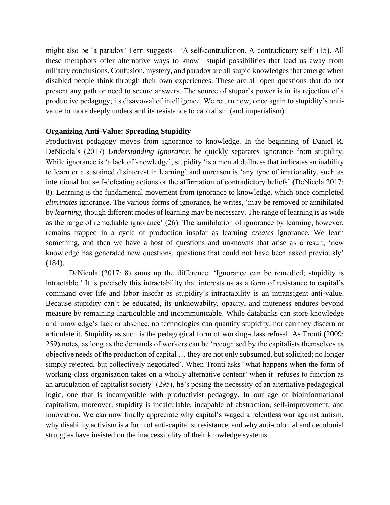might also be 'a paradox' Ferri suggests—'A self-contradiction. A contradictory self' (15). All these metaphors offer alternative ways to know—stupid possibilities that lead us away from military conclusions. Confusion, mystery, and paradox are all stupid knowledges that emerge when disabled people think through their own experiences. These are all open questions that do not present any path or need to secure answers. The source of stupor's power is in its rejection of a productive pedagogy; its disavowal of intelligence. We return now, once again to stupidity's antivalue to more deeply understand its resistance to capitalism (and imperialism).

## **Organizing Anti-Value: Spreading Stupidity**

Productivist pedagogy moves from ignorance to knowledge. In the beginning of Daniel R. DeNicola's (2017) *Understanding Ignorance*, he quickly separates ignorance from stupidity. While ignorance is 'a lack of knowledge', stupidity 'is a mental dullness that indicates an inability to learn or a sustained disinterest in learning' and unreason is 'any type of irrationality, such as intentional but self-defeating actions or the affirmation of contradictory beliefs' (DeNicola 2017: 8). Learning is the fundamental movement from ignorance to knowledge, which once completed *eliminates* ignorance. The various forms of ignorance, he writes, 'may be removed or annihilated by *learning*, though different modes of learning may be necessary. The range of learning is as wide as the range of remediable ignorance' (26). The annihilation of ignorance by learning, however, remains trapped in a cycle of production insofar as learning *creates* ignorance. We learn something, and then we have a host of questions and unknowns that arise as a result, 'new knowledge has generated new questions, questions that could not have been asked previously' (184).

DeNicola (2017: 8) sums up the difference: 'Ignorance can be remedied; stupidity is intractable.' It is precisely this intractability that interests us as a form of resistance to capital's command over life and labor insofar as stupidity's intractability is an intransigent anti-value. Because stupidity can't be educated, its unknowabilty, opacity, and muteness endures beyond measure by remaining inarticulable and incommunicable. While databanks can store knowledge and knowledge's lack or absence, no technologies can quantify stupidity, nor can they discern or articulate it. Stupidity as such is the pedagogical form of working-class refusal. As Tronti (2009: 259) notes, as long as the demands of workers can be 'recognised by the capitalists themselves as objective needs of the production of capital … they are not only subsumed, but solicited; no longer simply rejected, but collectively negotiated'. When Tronti asks 'what happens when the form of working-class organisation takes on a wholly alternative content' when it 'refuses to function as an articulation of capitalist society' (295), he's posing the necessity of an alternative pedagogical logic, one that is incompatible with productivist pedagogy. In our age of bioinformational capitalism, moreover, stupidity is incalculable, incapable of abstraction, self-improvement, and innovation. We can now finally appreciate why capital's waged a relentless war against autism, why disability activism is a form of anti-capitalist resistance, and why anti-colonial and decolonial struggles have insisted on the inaccessibility of their knowledge systems.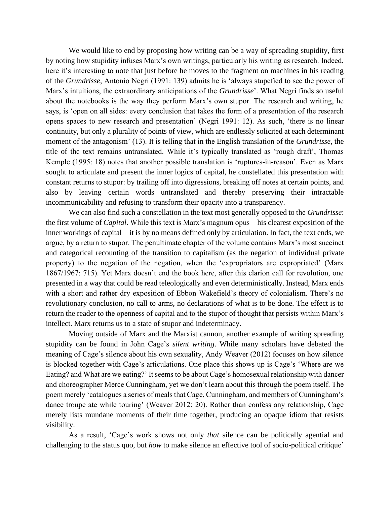We would like to end by proposing how writing can be a way of spreading stupidity, first by noting how stupidity infuses Marx's own writings, particularly his writing as research. Indeed, here it's interesting to note that just before he moves to the fragment on machines in his reading of the *Grundrisse*, Antonio Negri (1991: 139) admits he is 'always stupefied to see the power of Marx's intuitions, the extraordinary anticipations of the *Grundrisse*'. What Negri finds so useful about the notebooks is the way they perform Marx's own stupor. The research and writing, he says, is 'open on all sides: every conclusion that takes the form of a presentation of the research opens spaces to new research and presentation' (Negri 1991: 12). As such, 'there is no linear continuity, but only a plurality of points of view, which are endlessly solicited at each determinant moment of the antagonism' (13). It is telling that in the English translation of the *Grundrisse*, the title of the text remains untranslated. While it's typically translated as 'rough draft', Thomas Kemple (1995: 18) notes that another possible translation is 'ruptures-in-reason'. Even as Marx sought to articulate and present the inner logics of capital, he constellated this presentation with constant returns to stupor: by trailing off into digressions, breaking off notes at certain points, and also by leaving certain words untranslated and thereby preserving their intractable incommunicability and refusing to transform their opacity into a transparency.

We can also find such a constellation in the text most generally opposed to the *Grundrisse*: the first volume of *Capital*. While this text is Marx's magnum opus—his clearest exposition of the inner workings of capital—it is by no means defined only by articulation. In fact, the text ends, we argue, by a return to stupor. The penultimate chapter of the volume contains Marx's most succinct and categorical recounting of the transition to capitalism (as the negation of individual private property) to the negation of the negation, when the 'expropriators are expropriated' (Marx 1867/1967: 715). Yet Marx doesn't end the book here, after this clarion call for revolution, one presented in a way that could be read teleologically and even deterministically. Instead, Marx ends with a short and rather dry exposition of Ebbon Wakefield's theory of colonialism. There's no revolutionary conclusion, no call to arms, no declarations of what is to be done. The effect is to return the reader to the openness of capital and to the stupor of thought that persists within Marx's intellect. Marx returns us to a state of stupor and indeterminacy.

Moving outside of Marx and the Marxist cannon, another example of writing spreading stupidity can be found in John Cage's *silent writing*. While many scholars have debated the meaning of Cage's silence about his own sexuality, Andy Weaver (2012) focuses on how silence is blocked together with Cage's articulations. One place this shows up is Cage's 'Where are we Eating? and What are we eating?' It seems to be about Cage's homosexual relationship with dancer and choreographer Merce Cunningham, yet we don't learn about this through the poem itself. The poem merely 'catalogues a series of meals that Cage, Cunningham, and members of Cunningham's dance troupe ate while touring' (Weaver 2012: 20). Rather than confess any relationship, Cage merely lists mundane moments of their time together, producing an opaque idiom that resists visibility.

As a result, 'Cage's work shows not only *that* silence can be politically agential and challenging to the status quo, but *how* to make silence an effective tool of socio-political critique'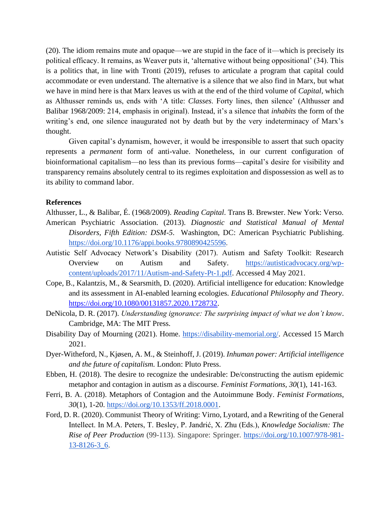(20). The idiom remains mute and opaque—we are stupid in the face of it—which is precisely its political efficacy. It remains, as Weaver puts it, 'alternative without being oppositional' (34). This is a politics that, in line with Tronti (2019), refuses to articulate a program that capital could accommodate or even understand. The alternative is a silence that we also find in Marx, but what we have in mind here is that Marx leaves us with at the end of the third volume of *Capital*, which as Althusser reminds us, ends with 'A title: *Classes*. Forty lines, then silence' (Althusser and Balibar 1968/2009: 214, emphasis in original). Instead, it's a silence that *inhabits* the form of the writing's end, one silence inaugurated not by death but by the very indeterminacy of Marx's thought.

Given capital's dynamism, however, it would be irresponsible to assert that such opacity represents a *permanent* form of anti-value. Nonetheless, in our current configuration of bioinformational capitalism—no less than its previous forms—capital's desire for visibility and transparency remains absolutely central to its regimes exploitation and dispossession as well as to its ability to command labor.

#### **References**

Althusser, L., & Balibar, É. (1968/2009). *Reading Capital*. Trans B. Brewster. New York: Verso.

- American Psychiatric Association. (2013). *Diagnostic and Statistical Manual of Mental Disorders, Fifth Edition: DSM-5*. Washington, DC: American Psychiatric Publishing. [https://doi.org/10.1176/appi.books.9780890425596.](https://doi.org/10.1176/appi.books.9780890425596)
- Autistic Self Advocacy Network's Disability (2017). Autism and Safety Toolkit: Research Overview on Autism and Safety. [https://autisticadvocacy.org/wp](https://autisticadvocacy.org/wp-content/uploads/2017/11/Autism-and-Safety-Pt-1.pdf)[content/uploads/2017/11/Autism-and-Safety-Pt-1.pdf.](https://autisticadvocacy.org/wp-content/uploads/2017/11/Autism-and-Safety-Pt-1.pdf) Accessed 4 May 2021.
- Cope, B., Kalantzis, M., & Searsmith, D. (2020). Artificial intelligence for education: Knowledge and its assessment in AI-enabled learning ecologies. *Educational Philosophy and Theory*. [https://doi.org/10.1080/00131857.2020.1728732.](https://doi.org/10.1080/00131857.2020.1728732)
- DeNicola, D. R. (2017). *Understanding ignorance: The surprising impact of what we don't know*. Cambridge, MA: The MIT Press.
- Disability Day of Mourning (2021). Home. [https://disability-memorial.org/.](https://disability-memorial.org/) Accessed 15 March 2021.
- Dyer-Witheford, N., Kjøsen, A. M., & Steinhoff, J. (2019). *Inhuman power: Artificial intelligence and the future of capitalism.* London: Pluto Press.
- Ebben, H. (2018). The desire to recognize the undesirable: De/constructing the autism epidemic metaphor and contagion in autism as a discourse. *Feminist Formations, 30*(1), 141-163.
- Ferri, B. A. (2018). Metaphors of Contagion and the Autoimmune Body. *Feminist Formations*, *30*(1), 1-20. [https://doi.org/10.1353/ff.2018.0001.](https://doi.org/10.1353/ff.2018.0001)
- Ford, D. R. (2020). Communist Theory of Writing: Virno, Lyotard, and a Rewriting of the General Intellect. In M.A. Peters, T. Besley, P. Jandrić, X. Zhu (Eds.), *Knowledge Socialism: The Rise of Peer Production* (99-113). Singapore: Springer. [https://doi.org/10.1007/978-981-](https://doi.org/10.1007/978-981-13-8126-3_6) [13-8126-3\\_6.](https://doi.org/10.1007/978-981-13-8126-3_6)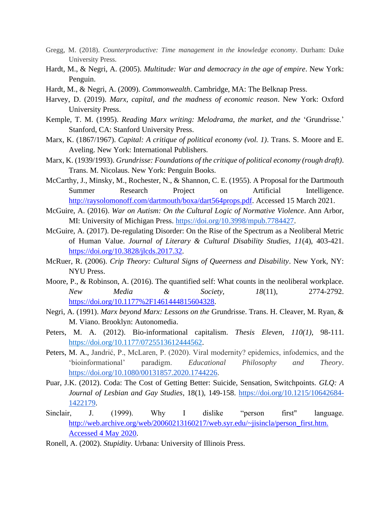- Gregg, M. (2018). *Counterproductive: Time management in the knowledge economy*. Durham: Duke University Press.
- Hardt, M., & Negri, A. (2005). *Multitude: War and democracy in the age of empire*. New York: Penguin.
- Hardt, M., & Negri, A. (2009). *Commonwealth*. Cambridge, MA: The Belknap Press.
- Harvey, D. (2019). *Marx, capital, and the madness of economic reason*. New York: Oxford University Press.
- Kemple, T. M. (1995). *Reading Marx writing: Melodrama, the market, and the* 'Grundrisse.' Stanford, CA: Stanford University Press.
- Marx, K. (1867/1967). *Capital: A critique of political economy (vol. 1)*. Trans. S. Moore and E. Aveling. New York: International Publishers.
- Marx, K. (1939/1993). *Grundrisse: Foundations of the critique of political economy (rough draft)*. Trans. M. Nicolaus. New York: Penguin Books.
- McCarthy, J., Minsky, M., Rochester, N., & Shannon, C. E. (1955). A Proposal for the Dartmouth Summer Research Project on Artificial Intelligence. [http://raysolomonoff.com/dartmouth/boxa/dart564props.pdf.](http://raysolomonoff.com/dartmouth/boxa/dart564props.pdf) Accessed 15 March 2021.
- McGuire, A. (2016). *War on Autism: On the Cultural Logic of Normative Violence*. Ann Arbor, MI: University of Michigan Press. [https://doi.org/10.3998/mpub.7784427.](https://doi.org/10.3998/mpub.7784427)
- McGuire, A. (2017). De-regulating Disorder: On the Rise of the Spectrum as a Neoliberal Metric of Human Value. *Journal of Literary & Cultural Disability Studies, 11*(4), 403-421. [https://doi.org/10.3828/jlcds.2017.32.](https://doi.org/10.3828/jlcds.2017.32)
- McRuer, R. (2006). *Crip Theory: Cultural Signs of Queerness and Disability*. New York, NY: NYU Press.
- Moore, P., & Robinson, A. (2016). The quantified self: What counts in the neoliberal workplace. *New Media & Society, 18*(11), 2774-2792. [https://doi.org/10.1177%2F1461444815604328.](https://doi.org/10.1177%2F1461444815604328)
- Negri, A. (1991). *Marx beyond Marx: Lessons on the* Grundrisse. Trans. H. Cleaver, M. Ryan, & M. Viano. Brooklyn: Autonomedia.
- Peters, M. A. (2012). Bio-informational capitalism. *Thesis Eleven, 110(1)*, 98-111. [https://doi.org/10.1177/0725513612444562.](https://doi.org/10.1177%2F0725513612444562)
- Peters, M. A., Jandrić, P., McLaren, P. (2020). Viral modernity? epidemics, infodemics, and the 'bioinformational' paradigm. *Educational Philosophy and Theory*. [https://doi.org/10.1080/00131857.2020.1744226.](https://doi.org/10.1080/00131857.2020.1744226)
- Puar, J.K. (2012). Coda: The Cost of Getting Better: Suicide, Sensation, Switchpoints. *GLQ: A Journal of Lesbian and Gay Studies*, 18(1), 149-158. [https://doi.org/10.1215/10642684-](https://doi.org/10.1215/10642684-1422179) [1422179.](https://doi.org/10.1215/10642684-1422179)
- Sinclair, J. (1999). Why I dislike "person first" language. http://web.archive.org/web/20060213160217/web.syr.edu/~jisincla/person\_first.htm. [Accessed 4 May 2020.](http://web.archive.org/web/20060213160217/web.syr.edu/~jisincla/person_first.htm.%20Accessed%204%20May%202020)
- Ronell, A. (2002). *Stupidity*. Urbana: University of Illinois Press.